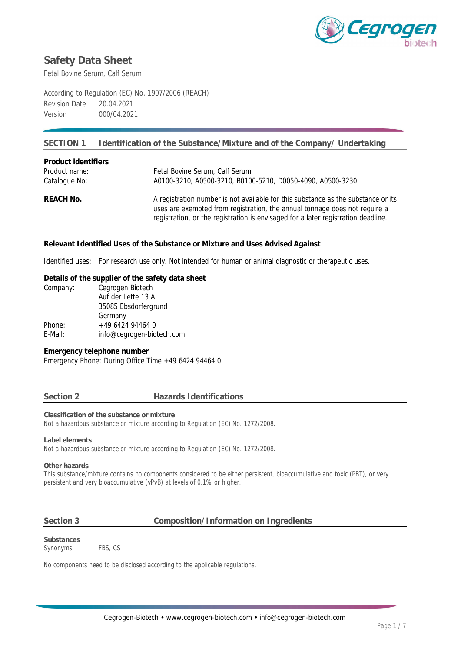

Fetal Bovine Serum, Calf Serum

According to Regulation (EC) No. 1907/2006 (REACH) Revision Date 20.04.2021 Version 000/04.2021

## **SECTION 1 Identification of the Substance/Mixture and of the Company/ Undertaking**

| Product identifiers |                                                                                                                                                                 |
|---------------------|-----------------------------------------------------------------------------------------------------------------------------------------------------------------|
| Product name:       | Fetal Bovine Serum, Calf Serum                                                                                                                                  |
| Catalogue No:       | A0100-3210, A0500-3210, B0100-5210, D0050-4090, A0500-3230                                                                                                      |
| REACH No.           | A registration number is not available for this substance as the substance or its<br>uses are exempted from registration, the annual tonnage does not require a |
|                     | registration, or the registration is envisaged for a later registration deadline.                                                                               |

**Relevant Identified Uses of the Substance or Mixture and Uses Advised Against**

Identified uses: For research use only. Not intended for human or animal diagnostic or therapeutic uses.

**Details of the supplier of the safety data sheet** Company: Cegrogen Biotech Auf der Lette 13 A 35085 Ebsdorfergrund Germany Phone: +49 6424 94464 0 E-Mail: info@cegrogen-biotech.com

**Emergency telephone number** Emergency Phone: During Office Time +49 6424 94464 0.

### **Section 2 Hazards Identifications**

**Classification of the substance or mixture** Not a hazardous substance or mixture according to Regulation (EC) No. 1272/2008.

**Label elements**

Not a hazardous substance or mixture according to Regulation (EC) No. 1272/2008.

**Other hazards**

This substance/mixture contains no components considered to be either persistent, bioaccumulative and toxic (PBT), or very persistent and very bioaccumulative (vPvB) at levels of 0.1% or higher.

### **Section 3 Composition/Information on Ingredients**

**Substances** Synonyms: FBS, CS

No components need to be disclosed according to the applicable regulations.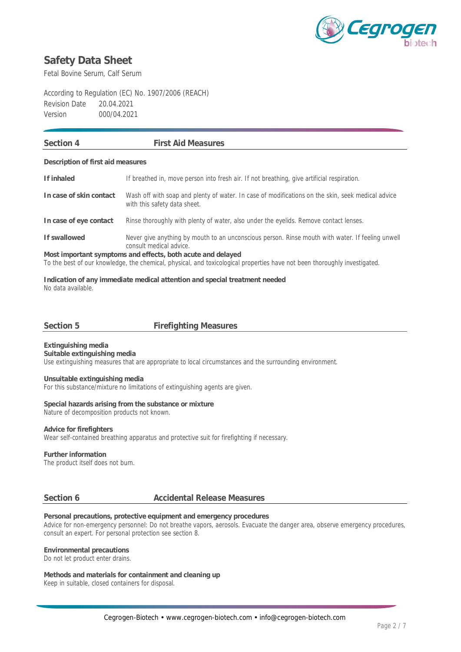

Fetal Bovine Serum, Calf Serum

According to Regulation (EC) No. 1907/2006 (REACH) Revision Date 20.04.2021 Version 000/04.2021

| Section 4                                                                                                                 | <b>First Aid Measures</b>                                                                                                         |  |  |  |
|---------------------------------------------------------------------------------------------------------------------------|-----------------------------------------------------------------------------------------------------------------------------------|--|--|--|
|                                                                                                                           |                                                                                                                                   |  |  |  |
| Description of first aid measures                                                                                         |                                                                                                                                   |  |  |  |
| If inhaled                                                                                                                | If breathed in, move person into fresh air. If not breathing, give artificial respiration.                                        |  |  |  |
| In case of skin contact                                                                                                   | Wash off with soap and plenty of water. In case of modifications on the skin, seek medical advice<br>with this safety data sheet. |  |  |  |
| In case of eye contact                                                                                                    | Rinse thoroughly with plenty of water, also under the eyelids. Remove contact lenses.                                             |  |  |  |
| If swallowed                                                                                                              | Never give anything by mouth to an unconscious person. Rinse mouth with water. If feeling unwell<br>consult medical advice.       |  |  |  |
| Most important symptoms and effects, both acute and delayed                                                               |                                                                                                                                   |  |  |  |
| To the best of our knowledge, the chemical, physical, and toxicological properties have not been thoroughly investigated. |                                                                                                                                   |  |  |  |

**Indication of any immediate medical attention and special treatment needed** No data available.

**Section 5 Firefighting Measures**

**Extinguishing media Suitable extinguishing media** Use extinguishing measures that are appropriate to local circumstances and the surrounding environment.

**Unsuitable extinguishing media** For this substance/mixture no limitations of extinguishing agents are given.

**Special hazards arising from the substance or mixture** Nature of decomposition products not known.

**Advice for firefighters** Wear self-contained breathing apparatus and protective suit for firefighting if necessary.

**Further information** The product itself does not burn.

### **Section 6 Accidental Release Measures**

**Personal precautions, protective equipment and emergency procedures** Advice for non-emergency personnel: Do not breathe vapors, aerosols. Evacuate the danger area, observe emergency procedures, consult an expert. For personal protection see section 8.

**Environmental precautions** Do not let product enter drains.

**Methods and materials for containment and cleaning up** Keep in suitable, closed containers for disposal.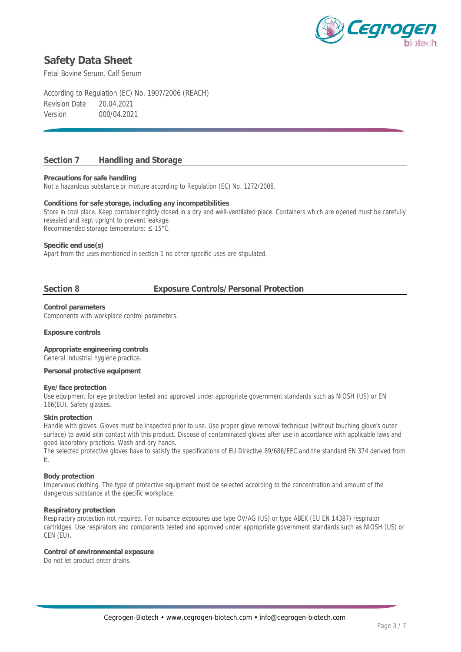

Fetal Bovine Serum, Calf Serum

According to Regulation (EC) No. 1907/2006 (REACH) Revision Date 20.04.2021 Version 000/04.2021

## **Section 7 Handling and Storage**

**Precautions for safe handling**

Not a hazardous substance or mixture according to Regulation (EC) No. 1272/2008.

**Conditions for safe storage, including any incompatibilities** Store in cool place. Keep container tightly closed in a dry and well-ventilated place. Containers which are opened must be carefully resealed and kept upright to prevent leakage. Recommended storage temperature: ≤-15°C.

**Specific end use(s)**

Apart from the uses mentioned in section 1 no other specific uses are stipulated.

## **Section 8 Exposure Controls/Personal Protection**

**Control parameters** Components with workplace control parameters.

**Exposure controls**

**Appropriate engineering controls** General industrial hygiene practice.

**Personal protective equipment**

### **Eye/face protection**

Use equipment for eye protection tested and approved under appropriate government standards such as NIOSH (US) or EN 166(EU). Safety glasses.

### **Skin protection**

Handle with gloves. Gloves must be inspected prior to use. Use proper glove removal technique (without touching glove's outer surface) to avoid skin contact with this product. Dispose of contaminated gloves after use in accordance with applicable laws and good laboratory practices. Wash and dry hands.

The selected protective gloves have to satisfy the specifications of EU Directive 89/686/EEC and the standard EN 374 derived from it.

### **Body protection**

Impervious clothing. The type of protective equipment must be selected according to the concentration and amount of the dangerous substance at the specific workplace.

### **Respiratory protection**

Respiratory protection not required. For nuisance exposures use type OV/AG (US) or type ABEK (EU EN 14387) respirator cartridges. Use respirators and components tested and approved under appropriate government standards such as NIOSH (US) or CEN (EU).

**Control of environmental exposure** Do not let product enter drains.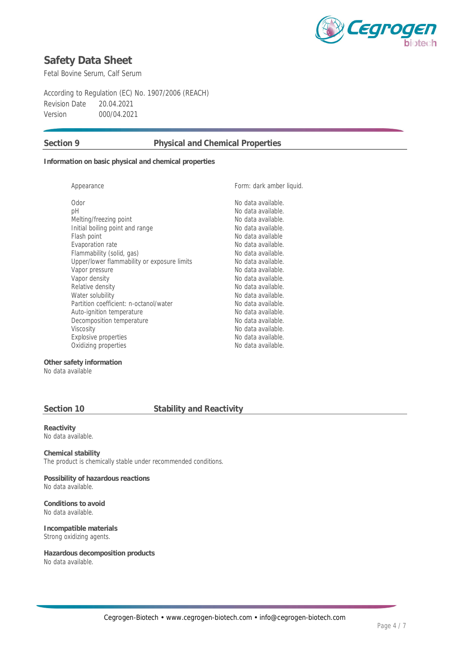

Fetal Bovine Serum, Calf Serum

According to Regulation (EC) No. 1907/2006 (REACH) Revision Date 20.04.2021 Version 000/04.2021

## **Section 9 Physical and Chemical Properties**

**Information on basic physical and chemical properties**

| Appearance                                  | Form: dark amber liquid. |
|---------------------------------------------|--------------------------|
| Odor                                        | No data available.       |
| рH                                          | No data available.       |
| Melting/freezing point                      | No data available.       |
| Initial boiling point and range             | No data available.       |
| Flash point                                 | No data available        |
| Evaporation rate                            | No data available.       |
| Flammability (solid, gas)                   | No data available.       |
| Upper/lower flammability or exposure limits | No data available.       |
| Vapor pressure                              | No data available.       |
| Vapor density                               | No data available.       |
| Relative density                            | No data available.       |
| Water solubility                            | No data available.       |
| Partition coefficient: n-octanol/water      | No data available.       |
| Auto-ignition temperature                   | No data available.       |
| Decomposition temperature                   | No data available.       |
| Viscosity                                   | No data available.       |
| Explosive properties                        | No data available.       |
| Oxidizing properties                        | No data available.       |
|                                             |                          |

**Other safety information** No data available

## **Section 10 Stability and Reactivity**

**Reactivity** No data available.

**Chemical stability** The product is chemically stable under recommended conditions.

**Possibility of hazardous reactions** No data available.

**Conditions to avoid** No data available.

**Incompatible materials** Strong oxidizing agents.

**Hazardous decomposition products** No data available.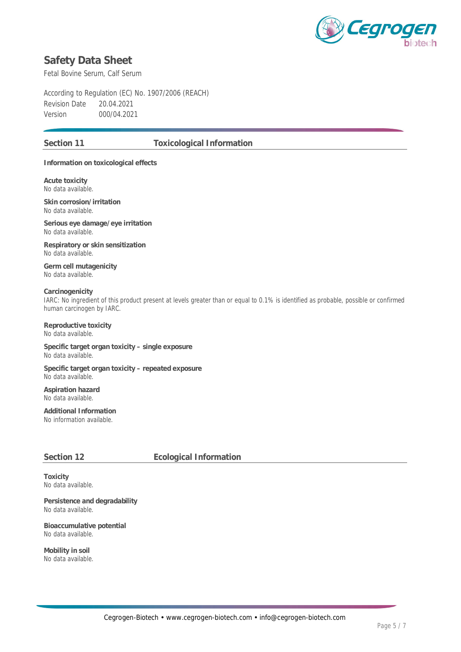

Fetal Bovine Serum, Calf Serum

According to Regulation (EC) No. 1907/2006 (REACH) Revision Date 20.04.2021 Version 000/04.2021

## **Section 11 Toxicological Information**

**Information on toxicological effects**

**Acute toxicity** No data available.

**Skin corrosion/irritation** No data available.

**Serious eye damage/eye irritation** No data available.

**Respiratory or skin sensitization** No data available.

**Germ cell mutagenicity** No data available.

**Carcinogenicity** IARC: No ingredient of this product present at levels greater than or equal to 0.1% is identified as probable, possible or confirmed human carcinogen by IARC.

**Reproductive toxicity** No data available.

**Specific target organ toxicity – single exposure** No data available.

**Specific target organ toxicity – repeated exposure** No data available.

**Aspiration hazard** No data available.

**Additional Information** No information available.

## **Section 12 Ecological Information**

**Toxicity** No data available.

**Persistence and degradability** No data available.

**Bioaccumulative potential** No data available.

**Mobility in soil** No data available.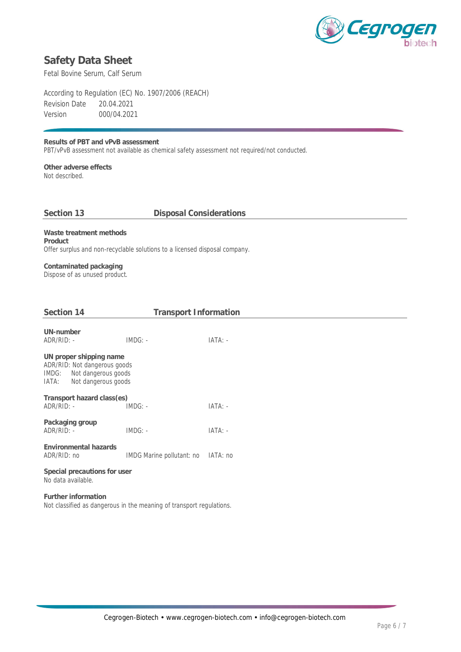

Fetal Bovine Serum, Calf Serum

According to Regulation (EC) No. 1907/2006 (REACH) Revision Date 20.04.2021 Version 000/04.2021

**Results of PBT and vPvB assessment** PBT/vPvB assessment not available as chemical safety assessment not required/not conducted.

**Other adverse effects** Not described.

## **Section 13 Disposal Considerations**

**Waste treatment methods Product** Offer surplus and non-recyclable solutions to a licensed disposal company.

**Contaminated packaging** Dispose of as unused product.

| Section 14                                                                                                              | <b>Transport Information</b>       |           |  |  |
|-------------------------------------------------------------------------------------------------------------------------|------------------------------------|-----------|--|--|
| UN-number<br>ADR/RID: -                                                                                                 | $IMDG: -$                          | $IATA: -$ |  |  |
| UN proper shipping name<br>ADR/RID: Not dangerous goods<br>Not dangerous goods<br>IMDG:<br>Not dangerous goods<br>IATA: |                                    |           |  |  |
| Transport hazard class(es)<br>$ADR/RID: -$                                                                              | $IMDG: -$                          | $IATA: -$ |  |  |
| Packaging group<br>$ADR/RID: -$                                                                                         | $IMDG: -$                          | $IATA: -$ |  |  |
| Environmental hazards<br>ADR/RID: no                                                                                    | IMDG Marine pollutant: no IATA: no |           |  |  |
| Special precautions for user<br>No data available.                                                                      |                                    |           |  |  |
| Further information<br>Not classified as dangerous in the meaning of transport regulations.                             |                                    |           |  |  |
|                                                                                                                         |                                    |           |  |  |